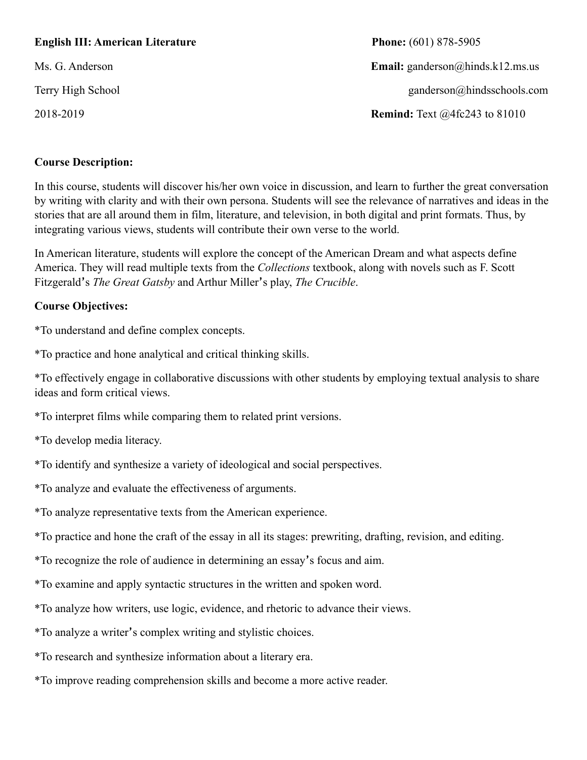### **English III: American Literature** Phone: (601) 878-5905

2018-2019 **Remind:** Text @4fc243 to 81010

Ms. G. Anderson **Email:** ganderson@hinds.k12.ms.us Terry High School ganderson@hindsschools.com

#### **Course Description:**

In this course, students will discover his/her own voice in discussion, and learn to further the great conversation by writing with clarity and with their own persona. Students will see the relevance of narratives and ideas in the stories that are all around them in film, literature, and television, in both digital and print formats. Thus, by integrating various views, students will contribute their own verse to the world.

In American literature, students will explore the concept of the American Dream and what aspects define America. They will read multiple texts from the *Collections* textbook, along with novels such as F. Scott Fitzgerald's *The Great Gatsby* and Arthur Miller's play, *The Crucible*.

#### **Course Objectives:**

\*To understand and define complex concepts.

\*To practice and hone analytical and critical thinking skills.

\*To effectively engage in collaborative discussions with other students by employing textual analysis to share ideas and form critical views.

\*To interpret films while comparing them to related print versions.

\*To develop media literacy.

\*To identify and synthesize a variety of ideological and social perspectives.

\*To analyze and evaluate the effectiveness of arguments.

\*To analyze representative texts from the American experience.

\*To practice and hone the craft of the essay in all its stages: prewriting, drafting, revision, and editing.

\*To recognize the role of audience in determining an essay's focus and aim.

\*To examine and apply syntactic structures in the written and spoken word.

\*To analyze how writers, use logic, evidence, and rhetoric to advance their views.

\*To analyze a writer's complex writing and stylistic choices.

\*To research and synthesize information about a literary era.

\*To improve reading comprehension skills and become a more active reader.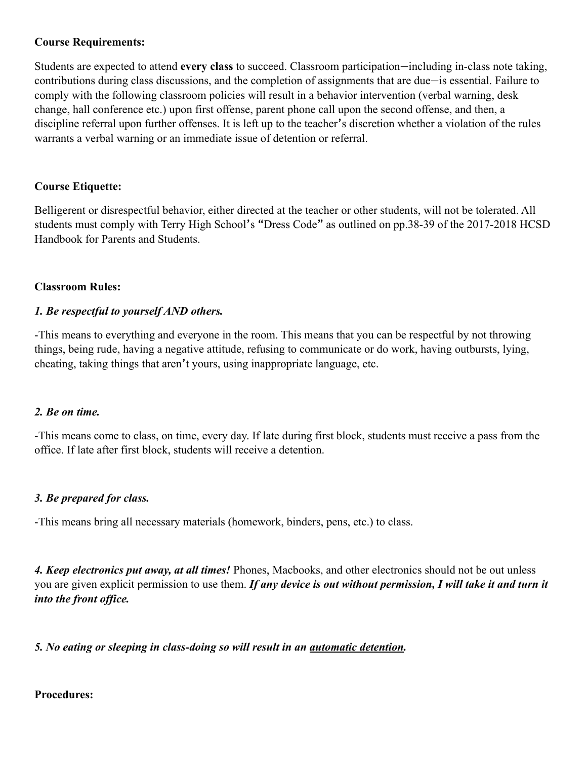## **Course Requirements:**

Students are expected to attend **every class** to succeed. Classroom participation—including in-class note taking, contributions during class discussions, and the completion of assignments that are due—is essential. Failure to comply with the following classroom policies will result in a behavior intervention (verbal warning, desk change, hall conference etc.) upon first offense, parent phone call upon the second offense, and then, a discipline referral upon further offenses. It is left up to the teacher's discretion whether a violation of the rules warrants a verbal warning or an immediate issue of detention or referral.

### **Course Etiquette:**

Belligerent or disrespectful behavior, either directed at the teacher or other students, will not be tolerated. All students must comply with Terry High School's "Dress Code" as outlined on pp.38-39 of the 2017-2018 HCSD Handbook for Parents and Students.

### **Classroom Rules:**

## *1. Be respectful to yourself AND others.*

-This means to everything and everyone in the room. This means that you can be respectful by not throwing things, being rude, having a negative attitude, refusing to communicate or do work, having outbursts, lying, cheating, taking things that aren't yours, using inappropriate language, etc.

### *2. Be on time.*

-This means come to class, on time, every day. If late during first block, students must receive a pass from the office. If late after first block, students will receive a detention.

### *3. Be prepared for class.*

-This means bring all necessary materials (homework, binders, pens, etc.) to class.

*4. Keep electronics put away, at all times!* Phones, Macbooks, and other electronics should not be out unless you are given explicit permission to use them. *If any device is out without permission, I will take it and turn it into the front office.* 

*5. No eating or sleeping in class-doing so will result in an automatic detention.* 

### **Procedures:**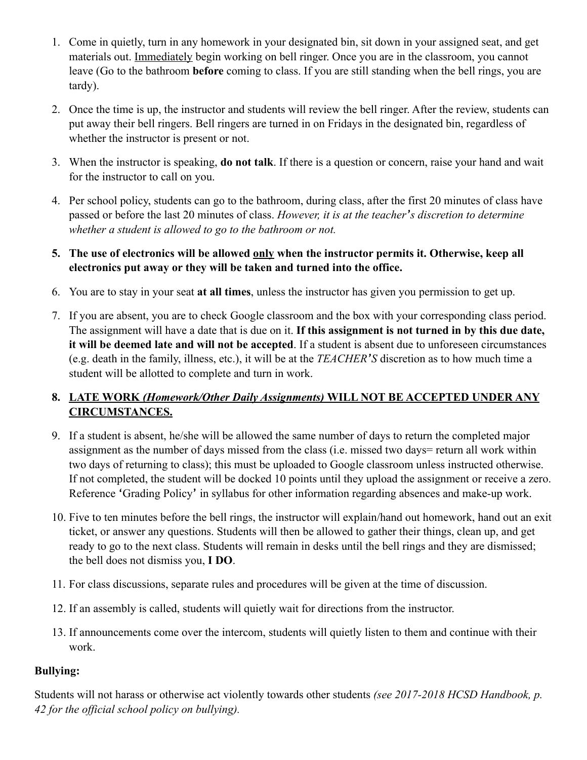- 1. Come in quietly, turn in any homework in your designated bin, sit down in your assigned seat, and get materials out. Immediately begin working on bell ringer. Once you are in the classroom, you cannot leave (Go to the bathroom **before** coming to class. If you are still standing when the bell rings, you are tardy).
- 2. Once the time is up, the instructor and students will review the bell ringer. After the review, students can put away their bell ringers. Bell ringers are turned in on Fridays in the designated bin, regardless of whether the instructor is present or not.
- 3. When the instructor is speaking, **do not talk**. If there is a question or concern, raise your hand and wait for the instructor to call on you.
- 4. Per school policy, students can go to the bathroom, during class, after the first 20 minutes of class have passed or before the last 20 minutes of class. *However, it is at the teacher's discretion to determine whether a student is allowed to go to the bathroom or not.*
- **5. The use of electronics will be allowed only when the instructor permits it. Otherwise, keep all electronics put away or they will be taken and turned into the office.**
- 6. You are to stay in your seat **at all times**, unless the instructor has given you permission to get up.
- 7. If you are absent, you are to check Google classroom and the box with your corresponding class period. The assignment will have a date that is due on it. **If this assignment is not turned in by this due date, it will be deemed late and will not be accepted**. If a student is absent due to unforeseen circumstances (e.g. death in the family, illness, etc.), it will be at the *TEACHER'S* discretion as to how much time a student will be allotted to complete and turn in work.

# **8. LATE WORK** *(Homework/Other Daily Assignments)* **WILL NOT BE ACCEPTED UNDER ANY CIRCUMSTANCES.**

- 9. If a student is absent, he/she will be allowed the same number of days to return the completed major assignment as the number of days missed from the class (i.e. missed two days= return all work within two days of returning to class); this must be uploaded to Google classroom unless instructed otherwise. If not completed, the student will be docked 10 points until they upload the assignment or receive a zero. Reference 'Grading Policy' in syllabus for other information regarding absences and make-up work.
- 10. Five to ten minutes before the bell rings, the instructor will explain/hand out homework, hand out an exit ticket, or answer any questions. Students will then be allowed to gather their things, clean up, and get ready to go to the next class. Students will remain in desks until the bell rings and they are dismissed; the bell does not dismiss you, **I DO**.
- 11. For class discussions, separate rules and procedures will be given at the time of discussion.
- 12. If an assembly is called, students will quietly wait for directions from the instructor.
- 13. If announcements come over the intercom, students will quietly listen to them and continue with their work.

# **Bullying:**

Students will not harass or otherwise act violently towards other students *(see 2017-2018 HCSD Handbook, p. 42 for the official school policy on bullying).*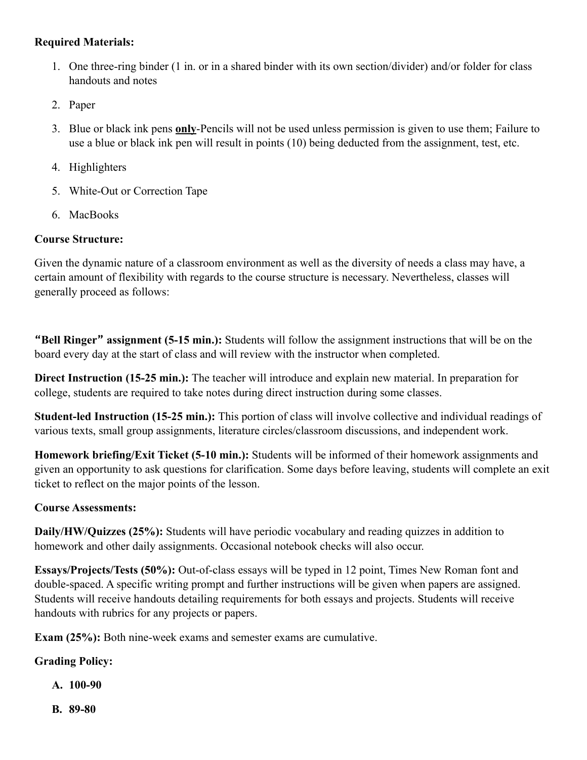## **Required Materials:**

- 1. One three-ring binder (1 in. or in a shared binder with its own section/divider) and/or folder for class handouts and notes
- 2. Paper
- 3. Blue or black ink pens **only**-Pencils will not be used unless permission is given to use them; Failure to use a blue or black ink pen will result in points (10) being deducted from the assignment, test, etc.
- 4. Highlighters
- 5. White-Out or Correction Tape
- 6. MacBooks

### **Course Structure:**

Given the dynamic nature of a classroom environment as well as the diversity of needs a class may have, a certain amount of flexibility with regards to the course structure is necessary. Nevertheless, classes will generally proceed as follows:

**"Bell Ringer" assignment (5-15 min.):** Students will follow the assignment instructions that will be on the board every day at the start of class and will review with the instructor when completed.

**Direct Instruction (15-25 min.):** The teacher will introduce and explain new material. In preparation for college, students are required to take notes during direct instruction during some classes.

**Student-led Instruction (15-25 min.):** This portion of class will involve collective and individual readings of various texts, small group assignments, literature circles/classroom discussions, and independent work.

**Homework briefing/Exit Ticket (5-10 min.):** Students will be informed of their homework assignments and given an opportunity to ask questions for clarification. Some days before leaving, students will complete an exit ticket to reflect on the major points of the lesson.

### **Course Assessments:**

**Daily/HW/Quizzes (25%):** Students will have periodic vocabulary and reading quizzes in addition to homework and other daily assignments. Occasional notebook checks will also occur.

**Essays/Projects/Tests (50%):** Out-of-class essays will be typed in 12 point, Times New Roman font and double-spaced. A specific writing prompt and further instructions will be given when papers are assigned. Students will receive handouts detailing requirements for both essays and projects. Students will receive handouts with rubrics for any projects or papers.

**Exam (25%):** Both nine-week exams and semester exams are cumulative.

## **Grading Policy:**

- **A. 100-90**
- **B. 89-80**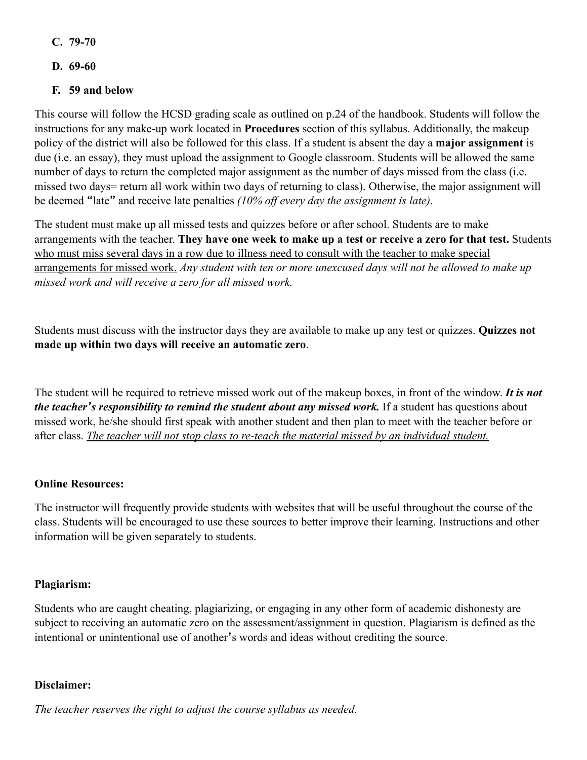- **C. 79-70**
- **D. 69-60**

# **F. 59 and below**

This course will follow the HCSD grading scale as outlined on p.24 of the handbook. Students will follow the instructions for any make-up work located in **Procedures** section of this syllabus. Additionally, the makeup policy of the district will also be followed for this class. If a student is absent the day a **major assignment** is due (i.e. an essay), they must upload the assignment to Google classroom. Students will be allowed the same number of days to return the completed major assignment as the number of days missed from the class (i.e. missed two days= return all work within two days of returning to class). Otherwise, the major assignment will be deemed "late" and receive late penalties *(10% off every day the assignment is late).* 

The student must make up all missed tests and quizzes before or after school. Students are to make arrangements with the teacher. **They have one week to make up a test or receive a zero for that test.** Students who must miss several days in a row due to illness need to consult with the teacher to make special arrangements for missed work. *Any student with ten or more unexcused days will not be allowed to make up missed work and will receive a zero for all missed work.* 

Students must discuss with the instructor days they are available to make up any test or quizzes. **Quizzes not made up within two days will receive an automatic zero**.

The student will be required to retrieve missed work out of the makeup boxes, in front of the window. *It is not the teacher's responsibility to remind the student about any missed work.* If a student has questions about missed work, he/she should first speak with another student and then plan to meet with the teacher before or after class. *The teacher will not stop class to re-teach the material missed by an individual student.* 

## **Online Resources:**

The instructor will frequently provide students with websites that will be useful throughout the course of the class. Students will be encouraged to use these sources to better improve their learning. Instructions and other information will be given separately to students.

## **Plagiarism:**

Students who are caught cheating, plagiarizing, or engaging in any other form of academic dishonesty are subject to receiving an automatic zero on the assessment/assignment in question. Plagiarism is defined as the intentional or unintentional use of another's words and ideas without crediting the source.

### **Disclaimer:**

*The teacher reserves the right to adjust the course syllabus as needed.*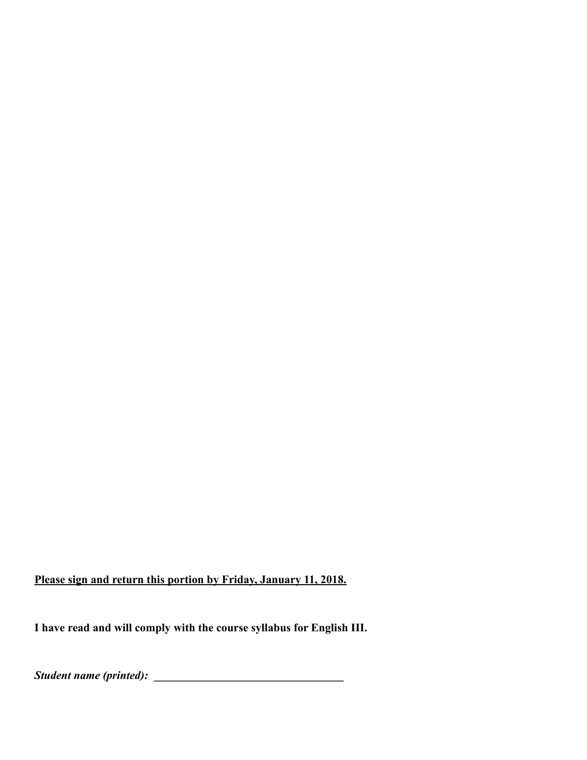**Please sign and return this portion by Friday, January 11, 2018.**

**I have read and will comply with the course syllabus for English III.** 

*Student name (printed):* **\_\_\_\_\_\_\_\_\_\_\_\_\_\_\_\_\_\_\_\_\_\_\_\_\_\_\_\_\_\_\_\_\_**